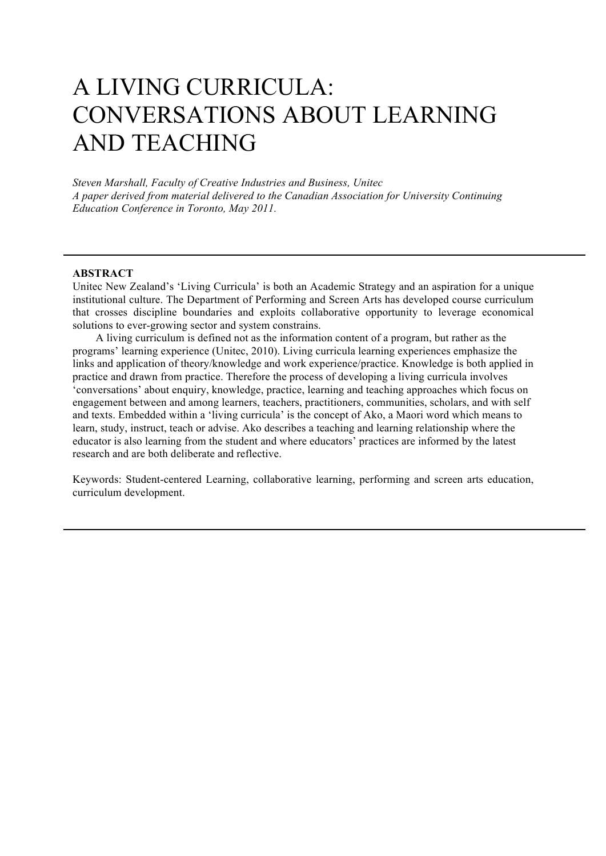# A LIVING CURRICULA: CONVERSATIONS ABOUT LEARNING AND TEACHING

*Steven Marshall, Faculty of Creative Industries and Business, Unitec A paper derived from material delivered to the Canadian Association for University Continuing Education Conference in Toronto, May 2011.*

#### **ABSTRACT**

Unitec New Zealand's 'Living Curricula' is both an Academic Strategy and an aspiration for a unique institutional culture. The Department of Performing and Screen Arts has developed course curriculum that crosses discipline boundaries and exploits collaborative opportunity to leverage economical solutions to ever-growing sector and system constrains.

A living curriculum is defined not as the information content of a program, but rather as the programs' learning experience (Unitec, 2010). Living curricula learning experiences emphasize the links and application of theory/knowledge and work experience/practice. Knowledge is both applied in practice and drawn from practice. Therefore the process of developing a living curricula involves 'conversations' about enquiry, knowledge, practice, learning and teaching approaches which focus on engagement between and among learners, teachers, practitioners, communities, scholars, and with self and texts. Embedded within a 'living curricula' is the concept of Ako, a Maori word which means to learn, study, instruct, teach or advise. Ako describes a teaching and learning relationship where the educator is also learning from the student and where educators' practices are informed by the latest research and are both deliberate and reflective.

Keywords: Student-centered Learning, collaborative learning, performing and screen arts education, curriculum development.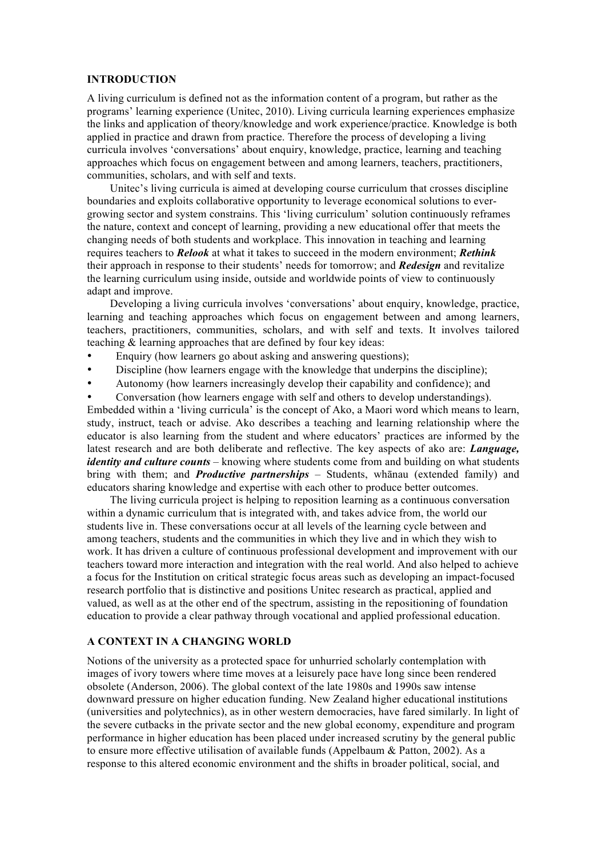#### **INTRODUCTION**

A living curriculum is defined not as the information content of a program, but rather as the programs' learning experience (Unitec, 2010). Living curricula learning experiences emphasize the links and application of theory/knowledge and work experience/practice. Knowledge is both applied in practice and drawn from practice. Therefore the process of developing a living curricula involves 'conversations' about enquiry, knowledge, practice, learning and teaching approaches which focus on engagement between and among learners, teachers, practitioners, communities, scholars, and with self and texts.

Unitec's living curricula is aimed at developing course curriculum that crosses discipline boundaries and exploits collaborative opportunity to leverage economical solutions to evergrowing sector and system constrains. This 'living curriculum' solution continuously reframes the nature, context and concept of learning, providing a new educational offer that meets the changing needs of both students and workplace. This innovation in teaching and learning requires teachers to *Relook* at what it takes to succeed in the modern environment; *Rethink* their approach in response to their students' needs for tomorrow; and *Redesign* and revitalize the learning curriculum using inside, outside and worldwide points of view to continuously adapt and improve.

Developing a living curricula involves 'conversations' about enquiry, knowledge, practice, learning and teaching approaches which focus on engagement between and among learners, teachers, practitioners, communities, scholars, and with self and texts. It involves tailored teaching & learning approaches that are defined by four key ideas:

- Enquiry (how learners go about asking and answering questions);
- Discipline (how learners engage with the knowledge that underpins the discipline);
- Autonomy (how learners increasingly develop their capability and confidence); and
- Conversation (how learners engage with self and others to develop understandings).

Embedded within a 'living curricula' is the concept of Ako, a Maori word which means to learn, study, instruct, teach or advise. Ako describes a teaching and learning relationship where the educator is also learning from the student and where educators' practices are informed by the latest research and are both deliberate and reflective. The key aspects of ako are: *Language, identity and culture counts* – knowing where students come from and building on what students bring with them; and *Productive partnerships* – Students, whānau (extended family) and educators sharing knowledge and expertise with each other to produce better outcomes.

The living curricula project is helping to reposition learning as a continuous conversation within a dynamic curriculum that is integrated with, and takes advice from, the world our students live in. These conversations occur at all levels of the learning cycle between and among teachers, students and the communities in which they live and in which they wish to work. It has driven a culture of continuous professional development and improvement with our teachers toward more interaction and integration with the real world. And also helped to achieve a focus for the Institution on critical strategic focus areas such as developing an impact-focused research portfolio that is distinctive and positions Unitec research as practical, applied and valued, as well as at the other end of the spectrum, assisting in the repositioning of foundation education to provide a clear pathway through vocational and applied professional education.

## **A CONTEXT IN A CHANGING WORLD**

Notions of the university as a protected space for unhurried scholarly contemplation with images of ivory towers where time moves at a leisurely pace have long since been rendered obsolete (Anderson, 2006). The global context of the late 1980s and 1990s saw intense downward pressure on higher education funding. New Zealand higher educational institutions (universities and polytechnics), as in other western democracies, have fared similarly. In light of the severe cutbacks in the private sector and the new global economy, expenditure and program performance in higher education has been placed under increased scrutiny by the general public to ensure more effective utilisation of available funds (Appelbaum & Patton, 2002). As a response to this altered economic environment and the shifts in broader political, social, and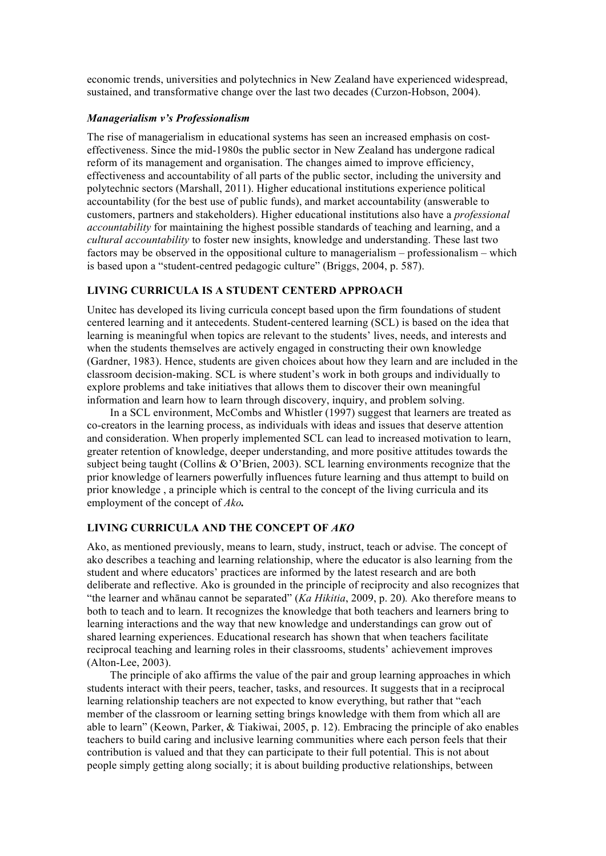economic trends, universities and polytechnics in New Zealand have experienced widespread, sustained, and transformative change over the last two decades (Curzon-Hobson, 2004).

## *Managerialism v's Professionalism*

The rise of managerialism in educational systems has seen an increased emphasis on costeffectiveness. Since the mid-1980s the public sector in New Zealand has undergone radical reform of its management and organisation. The changes aimed to improve efficiency, effectiveness and accountability of all parts of the public sector, including the university and polytechnic sectors (Marshall, 2011). Higher educational institutions experience political accountability (for the best use of public funds), and market accountability (answerable to customers, partners and stakeholders). Higher educational institutions also have a *professional accountability* for maintaining the highest possible standards of teaching and learning, and a *cultural accountability* to foster new insights, knowledge and understanding. These last two factors may be observed in the oppositional culture to managerialism – professionalism – which is based upon a "student-centred pedagogic culture" (Briggs, 2004, p. 587).

## **LIVING CURRICULA IS A STUDENT CENTERD APPROACH**

Unitec has developed its living curricula concept based upon the firm foundations of student centered learning and it antecedents. Student-centered learning (SCL) is based on the idea that learning is meaningful when topics are relevant to the students' lives, needs, and interests and when the students themselves are actively engaged in constructing their own knowledge (Gardner, 1983). Hence, students are given choices about how they learn and are included in the classroom decision-making. SCL is where student's work in both groups and individually to explore problems and take initiatives that allows them to discover their own meaningful information and learn how to learn through discovery, inquiry, and problem solving.

In a SCL environment, McCombs and Whistler (1997) suggest that learners are treated as co-creators in the learning process, as individuals with ideas and issues that deserve attention and consideration. When properly implemented SCL can lead to increased motivation to learn, greater retention of knowledge, deeper understanding, and more positive attitudes towards the subject being taught (Collins & O'Brien, 2003). SCL learning environments recognize that the prior knowledge of learners powerfully influences future learning and thus attempt to build on prior knowledge , a principle which is central to the concept of the living curricula and its employment of the concept of *Ako.*

#### **LIVING CURRICULA AND THE CONCEPT OF** *AKO*

Ako, as mentioned previously, means to learn, study, instruct, teach or advise. The concept of ako describes a teaching and learning relationship, where the educator is also learning from the student and where educators' practices are informed by the latest research and are both deliberate and reflective. Ako is grounded in the principle of reciprocity and also recognizes that "the learner and whānau cannot be separated" (*Ka Hikitia*, 2009, p. 20)*.* Ako therefore means to both to teach and to learn. It recognizes the knowledge that both teachers and learners bring to learning interactions and the way that new knowledge and understandings can grow out of shared learning experiences. Educational research has shown that when teachers facilitate reciprocal teaching and learning roles in their classrooms, students' achievement improves (Alton-Lee, 2003).

The principle of ako affirms the value of the pair and group learning approaches in which students interact with their peers, teacher, tasks, and resources. It suggests that in a reciprocal learning relationship teachers are not expected to know everything, but rather that "each member of the classroom or learning setting brings knowledge with them from which all are able to learn" (Keown, Parker, & Tiakiwai, 2005, p. 12). Embracing the principle of ako enables teachers to build caring and inclusive learning communities where each person feels that their contribution is valued and that they can participate to their full potential. This is not about people simply getting along socially; it is about building productive relationships, between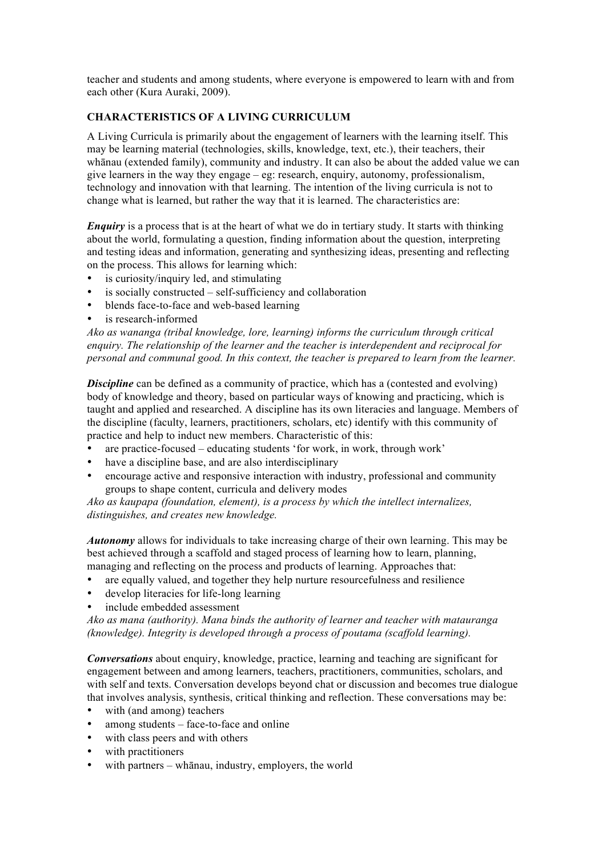teacher and students and among students, where everyone is empowered to learn with and from each other (Kura Auraki, 2009).

# **CHARACTERISTICS OF A LIVING CURRICULUM**

A Living Curricula is primarily about the engagement of learners with the learning itself. This may be learning material (technologies, skills, knowledge, text, etc.), their teachers, their whānau (extended family), community and industry. It can also be about the added value we can give learners in the way they engage – eg: research, enquiry, autonomy, professionalism, technology and innovation with that learning. The intention of the living curricula is not to change what is learned, but rather the way that it is learned. The characteristics are:

*Enquiry* is a process that is at the heart of what we do in tertiary study. It starts with thinking about the world, formulating a question, finding information about the question, interpreting and testing ideas and information, generating and synthesizing ideas, presenting and reflecting on the process. This allows for learning which:

- is curiosity/inquiry led, and stimulating
- is socially constructed self-sufficiency and collaboration
- blends face-to-face and web-based learning
- is research-informed

*Ako as wananga (tribal knowledge, lore, learning) informs the curriculum through critical enquiry. The relationship of the learner and the teacher is interdependent and reciprocal for personal and communal good. In this context, the teacher is prepared to learn from the learner.*

**Discipline** can be defined as a community of practice, which has a (contested and evolving) body of knowledge and theory, based on particular ways of knowing and practicing, which is taught and applied and researched. A discipline has its own literacies and language. Members of the discipline (faculty, learners, practitioners, scholars, etc) identify with this community of practice and help to induct new members. Characteristic of this:

- are practice-focused educating students 'for work, in work, through work'
- have a discipline base, and are also interdisciplinary
- encourage active and responsive interaction with industry, professional and community groups to shape content, curricula and delivery modes

*Ako as kaupapa (foundation, element), is a process by which the intellect internalizes, distinguishes, and creates new knowledge.*

*Autonomy* allows for individuals to take increasing charge of their own learning. This may be best achieved through a scaffold and staged process of learning how to learn, planning, managing and reflecting on the process and products of learning. Approaches that:

- are equally valued, and together they help nurture resourcefulness and resilience
- develop literacies for life-long learning
- include embedded assessment

*Ako as mana (authority). Mana binds the authority of learner and teacher with matauranga (knowledge). Integrity is developed through a process of poutama (scaffold learning).*

*Conversations* about enquiry, knowledge, practice, learning and teaching are significant for engagement between and among learners, teachers, practitioners, communities, scholars, and with self and texts. Conversation develops beyond chat or discussion and becomes true dialogue that involves analysis, synthesis, critical thinking and reflection. These conversations may be:

- with (and among) teachers
- among students  $-$  face-to-face and online
- with class peers and with others
- with practitioners
- with partners whānau, industry, employers, the world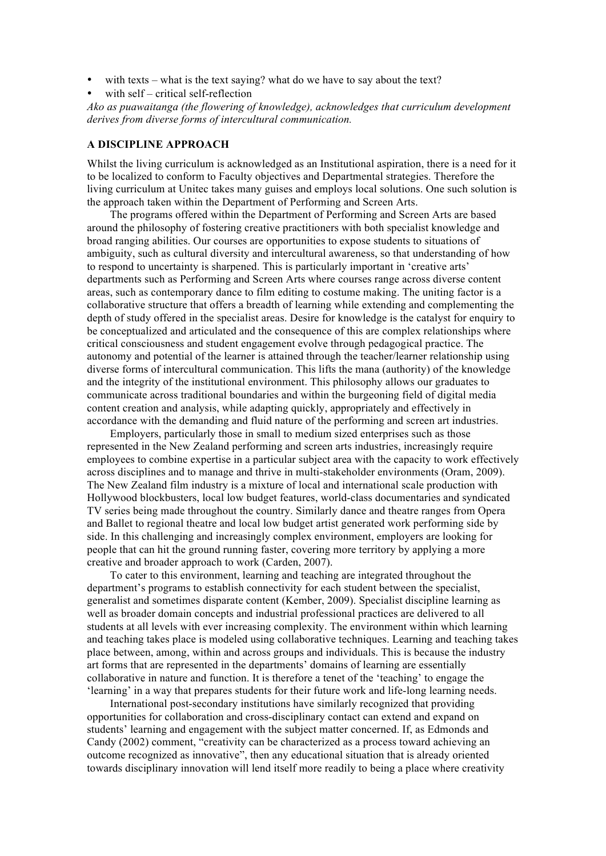- with texts what is the text saying? what do we have to say about the text?
- with self critical self-reflection

*Ako as puawaitanga (the flowering of knowledge), acknowledges that curriculum development derives from diverse forms of intercultural communication.*

## **A DISCIPLINE APPROACH**

Whilst the living curriculum is acknowledged as an Institutional aspiration, there is a need for it to be localized to conform to Faculty objectives and Departmental strategies. Therefore the living curriculum at Unitec takes many guises and employs local solutions. One such solution is the approach taken within the Department of Performing and Screen Arts.

The programs offered within the Department of Performing and Screen Arts are based around the philosophy of fostering creative practitioners with both specialist knowledge and broad ranging abilities. Our courses are opportunities to expose students to situations of ambiguity, such as cultural diversity and intercultural awareness, so that understanding of how to respond to uncertainty is sharpened. This is particularly important in 'creative arts' departments such as Performing and Screen Arts where courses range across diverse content areas, such as contemporary dance to film editing to costume making. The uniting factor is a collaborative structure that offers a breadth of learning while extending and complementing the depth of study offered in the specialist areas. Desire for knowledge is the catalyst for enquiry to be conceptualized and articulated and the consequence of this are complex relationships where critical consciousness and student engagement evolve through pedagogical practice. The autonomy and potential of the learner is attained through the teacher/learner relationship using diverse forms of intercultural communication. This lifts the mana (authority) of the knowledge and the integrity of the institutional environment. This philosophy allows our graduates to communicate across traditional boundaries and within the burgeoning field of digital media content creation and analysis, while adapting quickly, appropriately and effectively in accordance with the demanding and fluid nature of the performing and screen art industries.

Employers, particularly those in small to medium sized enterprises such as those represented in the New Zealand performing and screen arts industries, increasingly require employees to combine expertise in a particular subject area with the capacity to work effectively across disciplines and to manage and thrive in multi-stakeholder environments (Oram, 2009). The New Zealand film industry is a mixture of local and international scale production with Hollywood blockbusters, local low budget features, world-class documentaries and syndicated TV series being made throughout the country. Similarly dance and theatre ranges from Opera and Ballet to regional theatre and local low budget artist generated work performing side by side. In this challenging and increasingly complex environment, employers are looking for people that can hit the ground running faster, covering more territory by applying a more creative and broader approach to work (Carden, 2007).

To cater to this environment, learning and teaching are integrated throughout the department's programs to establish connectivity for each student between the specialist, generalist and sometimes disparate content (Kember, 2009). Specialist discipline learning as well as broader domain concepts and industrial professional practices are delivered to all students at all levels with ever increasing complexity. The environment within which learning and teaching takes place is modeled using collaborative techniques. Learning and teaching takes place between, among, within and across groups and individuals. This is because the industry art forms that are represented in the departments' domains of learning are essentially collaborative in nature and function. It is therefore a tenet of the 'teaching' to engage the 'learning' in a way that prepares students for their future work and life-long learning needs.

International post-secondary institutions have similarly recognized that providing opportunities for collaboration and cross-disciplinary contact can extend and expand on students' learning and engagement with the subject matter concerned. If, as Edmonds and Candy (2002) comment, "creativity can be characterized as a process toward achieving an outcome recognized as innovative", then any educational situation that is already oriented towards disciplinary innovation will lend itself more readily to being a place where creativity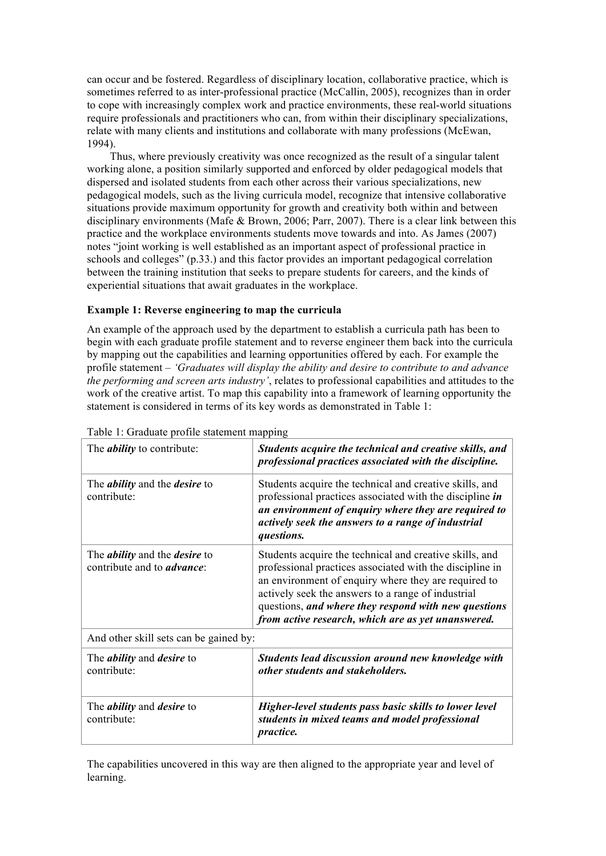can occur and be fostered. Regardless of disciplinary location, collaborative practice, which is sometimes referred to as inter-professional practice (McCallin, 2005), recognizes than in order to cope with increasingly complex work and practice environments, these real-world situations require professionals and practitioners who can, from within their disciplinary specializations. relate with many clients and institutions and collaborate with many professions (McEwan, 1994).

Thus, where previously creativity was once recognized as the result of a singular talent working alone, a position similarly supported and enforced by older pedagogical models that dispersed and isolated students from each other across their various specializations, new pedagogical models, such as the living curricula model, recognize that intensive collaborative situations provide maximum opportunity for growth and creativity both within and between disciplinary environments (Mafe & Brown, 2006; Parr, 2007). There is a clear link between this practice and the workplace environments students move towards and into. As James (2007) notes "joint working is well established as an important aspect of professional practice in schools and colleges" (p.33.) and this factor provides an important pedagogical correlation between the training institution that seeks to prepare students for careers, and the kinds of experiential situations that await graduates in the workplace.

## **Example 1: Reverse engineering to map the curricula**

An example of the approach used by the department to establish a curricula path has been to begin with each graduate profile statement and to reverse engineer them back into the curricula by mapping out the capabilities and learning opportunities offered by each. For example the profile statement – *'Graduates will display the ability and desire to contribute to and advance the performing and screen arts industry'*, relates to professional capabilities and attitudes to the work of the creative artist. To map this capability into a framework of learning opportunity the statement is considered in terms of its key words as demonstrated in Table 1:

| The <i>ability</i> to contribute:                                                 | Students acquire the technical and creative skills, and<br>professional practices associated with the discipline.                                                                                                                                                                                                                               |
|-----------------------------------------------------------------------------------|-------------------------------------------------------------------------------------------------------------------------------------------------------------------------------------------------------------------------------------------------------------------------------------------------------------------------------------------------|
| The <i>ability</i> and the <i>desire</i> to<br>contribute:                        | Students acquire the technical and creative skills, and<br>professional practices associated with the discipline in<br>an environment of enquiry where they are required to<br>actively seek the answers to a range of industrial<br>questions.                                                                                                 |
| The <i>ability</i> and the <i>desire</i> to<br>contribute and to <i>advance</i> : | Students acquire the technical and creative skills, and<br>professional practices associated with the discipline in<br>an environment of enquiry where they are required to<br>actively seek the answers to a range of industrial<br>questions, and where they respond with new questions<br>from active research, which are as yet unanswered. |
| And other skill sets can be gained by:                                            |                                                                                                                                                                                                                                                                                                                                                 |
| The <i>ability</i> and <i>desire</i> to<br>contribute:                            | Students lead discussion around new knowledge with<br>other students and stakeholders.                                                                                                                                                                                                                                                          |
| The <i>ability</i> and <i>desire</i> to<br>contribute:                            | Higher-level students pass basic skills to lower level<br>students in mixed teams and model professional<br><i>practice.</i>                                                                                                                                                                                                                    |

Table 1: Graduate profile statement mapping

The capabilities uncovered in this way are then aligned to the appropriate year and level of learning.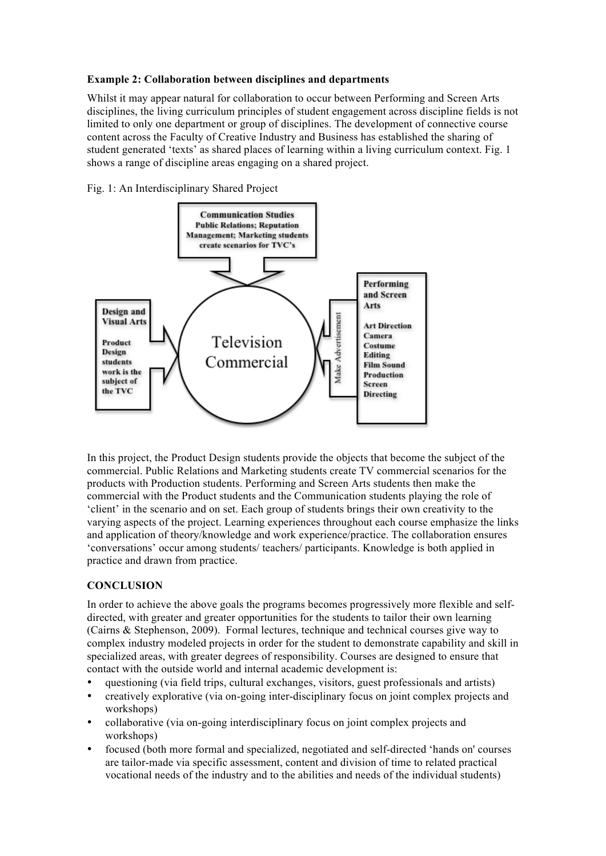## **Example 2: Collaboration between disciplines and departments**

Whilst it may appear natural for collaboration to occur between Performing and Screen Arts disciplines, the living curriculum principles of student engagement across discipline fields is not limited to only one department or group of disciplines. The development of connective course content across the Faculty of Creative Industry and Business has established the sharing of student generated 'texts' as shared places of learning within a living curriculum context. Fig. 1 shows a range of discipline areas engaging on a shared project.





In this project, the Product Design students provide the objects that become the subject of the commercial. Public Relations and Marketing students create TV commercial scenarios for the products with Production students. Performing and Screen Arts students then make the commercial with the Product students and the Communication students playing the role of 'client' in the scenario and on set. Each group of students brings their own creativity to the varying aspects of the project. Learning experiences throughout each course emphasize the links and application of theory/knowledge and work experience/practice. The collaboration ensures 'conversations' occur among students/ teachers/ participants. Knowledge is both applied in practice and drawn from practice.

# **CONCLUSION**

In order to achieve the above goals the programs becomes progressively more flexible and selfdirected, with greater and greater opportunities for the students to tailor their own learning (Cairns & Stephenson, 2009). Formal lectures, technique and technical courses give way to complex industry modeled projects in order for the student to demonstrate capability and skill in specialized areas, with greater degrees of responsibility. Courses are designed to ensure that contact with the outside world and internal academic development is:

- questioning (via field trips, cultural exchanges, visitors, guest professionals and artists)
- creatively explorative (via on-going inter-disciplinary focus on joint complex projects and workshops)
- collaborative (via on-going interdisciplinary focus on joint complex projects and workshops)
- focused (both more formal and specialized, negotiated and self-directed 'hands on' courses are tailor-made via specific assessment, content and division of time to related practical vocational needs of the industry and to the abilities and needs of the individual students)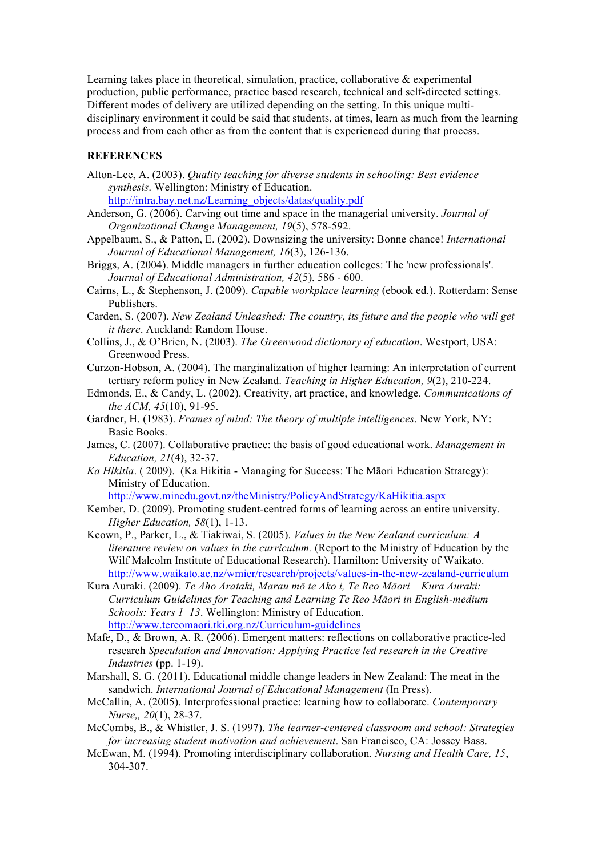Learning takes place in theoretical, simulation, practice, collaborative & experimental production, public performance, practice based research, technical and self-directed settings. Different modes of delivery are utilized depending on the setting. In this unique multidisciplinary environment it could be said that students, at times, learn as much from the learning process and from each other as from the content that is experienced during that process.

## **REFERENCES**

Alton-Lee, A. (2003). *Quality teaching for diverse students in schooling: Best evidence synthesis*. Wellington: Ministry of Education.

http://intra.bay.net.nz/Learning\_objects/datas/quality.pdf

- Anderson, G. (2006). Carving out time and space in the managerial university. *Journal of Organizational Change Management, 19*(5), 578-592.
- Appelbaum, S., & Patton, E. (2002). Downsizing the university: Bonne chance! *International Journal of Educational Management, 16*(3), 126-136.
- Briggs, A. (2004). Middle managers in further education colleges: The 'new professionals'. *Journal of Educational Administration, 42*(5), 586 - 600.
- Cairns, L., & Stephenson, J. (2009). *Capable workplace learning* (ebook ed.). Rotterdam: Sense Publishers.
- Carden, S. (2007). *New Zealand Unleashed: The country, its future and the people who will get it there*. Auckland: Random House.
- Collins, J., & O'Brien, N. (2003). *The Greenwood dictionary of education*. Westport, USA: Greenwood Press.
- Curzon-Hobson, A. (2004). The marginalization of higher learning: An interpretation of current tertiary reform policy in New Zealand. *Teaching in Higher Education, 9*(2), 210-224.
- Edmonds, E., & Candy, L. (2002). Creativity, art practice, and knowledge. *Communications of the ACM, 45*(10), 91-95.
- Gardner, H. (1983). *Frames of mind: The theory of multiple intelligences*. New York, NY: Basic Books.
- James, C. (2007). Collaborative practice: the basis of good educational work. *Management in Education, 21*(4), 32-37.
- *Ka Hikitia*. ( 2009). (Ka Hikitia Managing for Success: The Māori Education Strategy): Ministry of Education.

http://www.minedu.govt.nz/theMinistry/PolicyAndStrategy/KaHikitia.aspx

- Kember, D. (2009). Promoting student-centred forms of learning across an entire university. *Higher Education, 58*(1), 1-13.
- Keown, P., Parker, L., & Tiakiwai, S. (2005). *Values in the New Zealand curriculum: A literature review on values in the curriculum.* (Report to the Ministry of Education by the Wilf Malcolm Institute of Educational Research). Hamilton: University of Waikato. http://www.waikato.ac.nz/wmier/research/projects/values-in-the-new-zealand-curriculum
- Kura Auraki. (2009). *Te Aho Arataki, Marau mō te Ako i, Te Reo Māori – Kura Auraki: Curriculum Guidelines for Teaching and Learning Te Reo Māori in English-medium Schools: Years 1–13*. Wellington: Ministry of Education. http://www.tereomaori.tki.org.nz/Curriculum-guidelines
- Mafe, D., & Brown, A. R. (2006). Emergent matters: reflections on collaborative practice-led research *Speculation and Innovation: Applying Practice led research in the Creative Industries* (pp. 1-19).
- Marshall, S. G. (2011). Educational middle change leaders in New Zealand: The meat in the sandwich. *International Journal of Educational Management* (In Press).
- McCallin, A. (2005). Interprofessional practice: learning how to collaborate. *Contemporary Nurse,, 20*(1), 28-37.
- McCombs, B., & Whistler, J. S. (1997). *The learner-centered classroom and school: Strategies for increasing student motivation and achievement*. San Francisco, CA: Jossey Bass.
- McEwan, M. (1994). Promoting interdisciplinary collaboration. *Nursing and Health Care, 15*, 304-307.